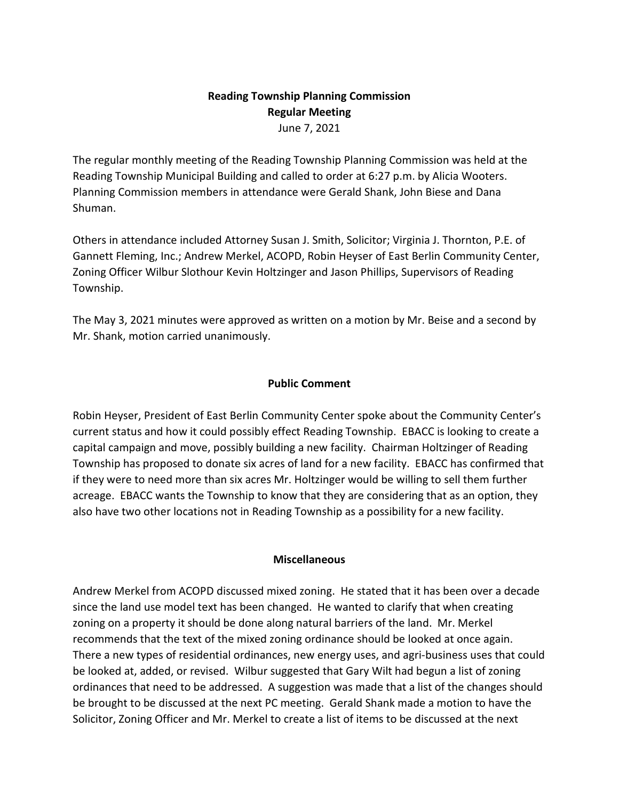## **Reading Township Planning Commission Regular Meeting** June 7, 2021

The regular monthly meeting of the Reading Township Planning Commission was held at the Reading Township Municipal Building and called to order at 6:27 p.m. by Alicia Wooters. Planning Commission members in attendance were Gerald Shank, John Biese and Dana Shuman.

Others in attendance included Attorney Susan J. Smith, Solicitor; Virginia J. Thornton, P.E. of Gannett Fleming, Inc.; Andrew Merkel, ACOPD, Robin Heyser of East Berlin Community Center, Zoning Officer Wilbur Slothour Kevin Holtzinger and Jason Phillips, Supervisors of Reading Township.

The May 3, 2021 minutes were approved as written on a motion by Mr. Beise and a second by Mr. Shank, motion carried unanimously.

## **Public Comment**

Robin Heyser, President of East Berlin Community Center spoke about the Community Center's current status and how it could possibly effect Reading Township. EBACC is looking to create a capital campaign and move, possibly building a new facility. Chairman Holtzinger of Reading Township has proposed to donate six acres of land for a new facility. EBACC has confirmed that if they were to need more than six acres Mr. Holtzinger would be willing to sell them further acreage. EBACC wants the Township to know that they are considering that as an option, they also have two other locations not in Reading Township as a possibility for a new facility.

## **Miscellaneous**

Andrew Merkel from ACOPD discussed mixed zoning. He stated that it has been over a decade since the land use model text has been changed. He wanted to clarify that when creating zoning on a property it should be done along natural barriers of the land. Mr. Merkel recommends that the text of the mixed zoning ordinance should be looked at once again. There a new types of residential ordinances, new energy uses, and agri-business uses that could be looked at, added, or revised. Wilbur suggested that Gary Wilt had begun a list of zoning ordinances that need to be addressed. A suggestion was made that a list of the changes should be brought to be discussed at the next PC meeting. Gerald Shank made a motion to have the Solicitor, Zoning Officer and Mr. Merkel to create a list of items to be discussed at the next